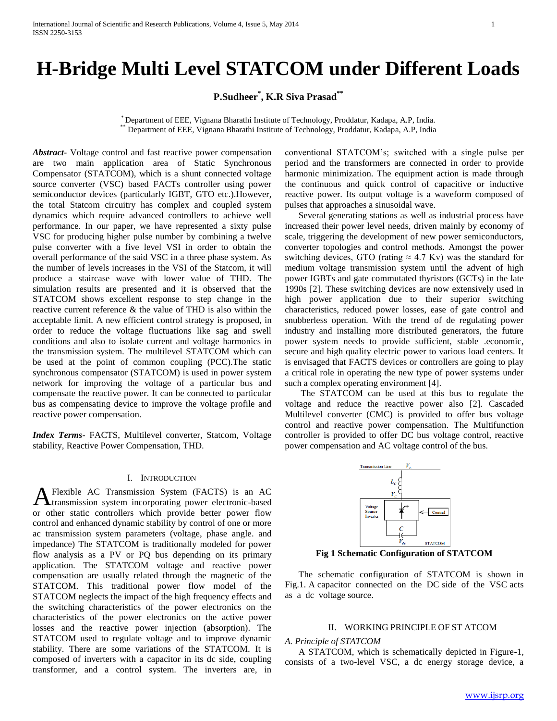# **H-Bridge Multi Level STATCOM under Different Loads**

**P.Sudheer\* , K.R Siva Prasad\*\***

\* Department of EEE, Vignana Bharathi Institute of Technology, Proddatur, Kadapa, A.P, India. \*\* Department of EEE, Vignana Bharathi Institute of Technology, Proddatur, Kadapa, A.P, India

*Abstract***-** Voltage control and fast reactive power compensation are two main application area of Static Synchronous Compensator (STATCOM), which is a shunt connected voltage source converter (VSC) based FACTs controller using power semiconductor devices (particularly IGBT, GTO etc.).However, the total Statcom circuitry has complex and coupled system dynamics which require advanced controllers to achieve well performance. In our paper, we have represented a sixty pulse VSC for producing higher pulse number by combining a twelve pulse converter with a five level VSI in order to obtain the overall performance of the said VSC in a three phase system. As the number of levels increases in the VSI of the Statcom, it will produce a staircase wave with lower value of THD. The simulation results are presented and it is observed that the STATCOM shows excellent response to step change in the reactive current reference & the value of THD is also within the acceptable limit. A new efficient control strategy is proposed, in order to reduce the voltage fluctuations like sag and swell conditions and also to isolate current and voltage harmonics in the transmission system. The multilevel STATCOM which can be used at the point of common coupling (PCC).The static synchronous compensator (STATCOM) is used in power system network for improving the voltage of a particular bus and compensate the reactive power. It can be connected to particular bus as compensating device to improve the voltage profile and reactive power compensation.

*Index Terms*- FACTS, Multilevel converter, Statcom, Voltage stability, Reactive Power Compensation, THD.

#### I. INTRODUCTION

Flexible AC Transmission System (FACTS) is an AC A Flexible AC Transmission System (FACTS) is an AC transmission system incorporating power electronic-based or other static controllers which provide better power flow control and enhanced dynamic stability by control of one or more ac transmission system parameters (voltage, phase angle. and impedance) The STATCOM is traditionally modeled for power flow analysis as a PV or PQ bus depending on its primary application. The STATCOM voltage and reactive power compensation are usually related through the magnetic of the STATCOM. This traditional power flow model of the STATCOM neglects the impact of the high frequency effects and the switching characteristics of the power electronics on the characteristics of the power electronics on the active power losses and the reactive power injection (absorption). The STATCOM used to regulate voltage and to improve dynamic stability. There are some variations of the STATCOM. It is composed of inverters with a capacitor in its dc side, coupling transformer, and a control system. The inverters are, in

conventional STATCOM's; switched with a single pulse per period and the transformers are connected in order to provide harmonic minimization. The equipment action is made through the continuous and quick control of capacitive or inductive reactive power. Its output voltage is a waveform composed of pulses that approaches a sinusoidal wave.

 Several generating stations as well as industrial process have increased their power level needs, driven mainly by economy of scale, triggering the development of new power semiconductors, converter topologies and control methods. Amongst the power switching devices, GTO (rating  $\approx$  4.7 Kv) was the standard for medium voltage transmission system until the advent of high power IGBTs and gate commutated thyristors (GCTs) in the late 1990s [2]. These switching devices are now extensively used in high power application due to their superior switching characteristics, reduced power losses, ease of gate control and snubberless operation. With the trend of de regulating power industry and installing more distributed generators, the future power system needs to provide sufficient, stable .economic, secure and high quality electric power to various load centers. It is envisaged that FACTS devices or controllers are going to play a critical role in operating the new type of power systems under such a complex operating environment [4].

 The STATCOM can be used at this bus to regulate the voltage and reduce the reactive power also [2]. Cascaded Multilevel converter (CMC) is provided to offer bus voltage control and reactive power compensation. The Multifunction controller is provided to offer DC bus voltage control, reactive power compensation and AC voltage control of the bus.



**Fig 1 Schematic Configuration of STATCOM**

 The schematic configuration of STATCOM is shown in Fig.1. A capacitor connected on the DC side of the VSC acts as a dc voltage source.

## II. WORKING PRINCIPLE OF ST ATCOM

### *A. Principle of STATCOM*

 A STATCOM, which is schematically depicted in Figure-1, consists of a two-level VSC, a dc energy storage device, a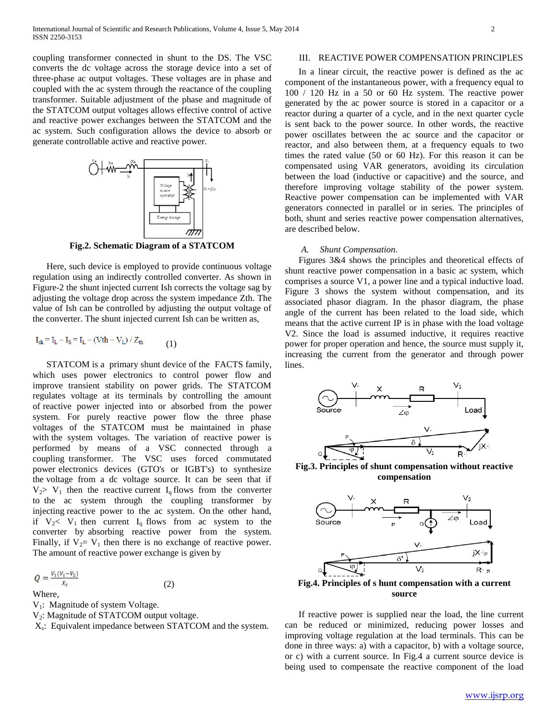coupling transformer connected in shunt to the DS. The VSC converts the dc voltage across the storage device into a set of three-phase ac output voltages. These voltages are in phase and coupled with the ac system through the reactance of the coupling transformer. Suitable adjustment of the phase and magnitude of the STATCOM output voltages allows effective control of active and reactive power exchanges between the STATCOM and the ac system. Such configuration allows the device to absorb or generate controllable active and reactive power.



**Fig.2. Schematic Diagram of a STATCOM**

 Here, such device is employed to provide continuous voltage regulation using an indirectly controlled converter. As shown in Figure-2 the shunt injected current Ish corrects the voltage sag by adjusting the voltage drop across the system impedance Zth. The value of Ish can be controlled by adjusting the output voltage of the converter. The shunt injected current Ish can be written as,

$$
I_{sh} = I_L - I_S = I_L - (Vth - V_L) / Z_{th}
$$
\n<sup>(1)</sup>

 STATCOM is a primary shunt device of the FACTS family, which uses power electronics to control power flow and improve transient stability on power grids. The STATCOM regulates voltage at its terminals by controlling the amount of reactive power injected into or absorbed from the power system. For purely reactive power flow the three phase voltages of the STATCOM must be maintained in phase with the system voltages. The variation of reactive power is performed by means of a VSC connected through a coupling transformer. The VSC uses forced commutated power electronics devices (GTO's or IGBT's) to synthesize the voltage from a dc voltage source. It can be seen that if  $V_2$ > V<sub>1</sub> then the reactive current I<sub>q</sub> flows from the converter to the ac system through the coupling transformer by injecting reactive power to the ac system. On the other hand, if  $V_2 < V_1$  then current  $I_q$  flows from ac system to the converter by absorbing reactive power from the system. Finally, if  $V_2= V_1$  then there is no exchange of reactive power. The amount of reactive power exchange is given by

$$
Q=\frac{V_1(V_1-V_2)}{X_s}
$$

Where,

- V<sub>1</sub>: Magnitude of system Voltage.
- V<sub>2</sub>: Magnitude of STATCOM output voltage.

X<sub>s</sub>: Equivalent impedance between STATCOM and the system.

(2)

# III. REACTIVE POWER COMPENSATION PRINCIPLES

 In a linear circuit, the reactive power is defined as the ac component of the instantaneous power, with a frequency equal to 100 / 120 Hz in a 50 or 60 Hz system. The reactive power generated by the ac power source is stored in a capacitor or a reactor during a quarter of a cycle, and in the next quarter cycle is sent back to the power source. In other words, the reactive power oscillates between the ac source and the capacitor or reactor, and also between them, at a frequency equals to two times the rated value (50 or 60 Hz). For this reason it can be compensated using VAR generators, avoiding its circulation between the load (inductive or capacitive) and the source, and therefore improving voltage stability of the power system. Reactive power compensation can be implemented with VAR generators connected in parallel or in series. The principles of both, shunt and series reactive power compensation alternatives, are described below.

## *A. Shunt Compensation.*

 Figures 3&4 shows the principles and theoretical effects of shunt reactive power compensation in a basic ac system, which comprises a source V1, a power line and a typical inductive load. Figure 3 shows the system without compensation, and its associated phasor diagram. In the phasor diagram, the phase angle of the current has been related to the load side, which means that the active current IP is in phase with the load voltage V2. Since the load is assumed inductive, it requires reactive power for proper operation and hence, the source must supply it, increasing the current from the generator and through power lines.



**Fig.3. Principles of shunt compensation without reactive compensation**



**Fig.4. Principles of s hunt compensation with a current source**

 If reactive power is supplied near the load, the line current can be reduced or minimized, reducing power losses and improving voltage regulation at the load terminals. This can be done in three ways: a) with a capacitor, b) with a voltage source, or c) with a current source. In Fig.4 a current source device is being used to compensate the reactive component of the load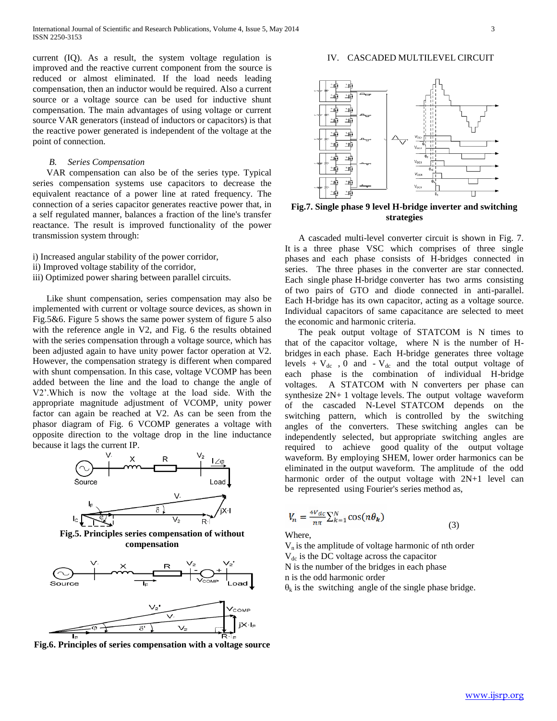current (IQ). As a result, the system voltage regulation is improved and the reactive current component from the source is reduced or almost eliminated. If the load needs leading compensation, then an inductor would be required. Also a current source or a voltage source can be used for inductive shunt compensation. The main advantages of using voltage or current source VAR generators (instead of inductors or capacitors) is that the reactive power generated is independent of the voltage at the point of connection.

#### *B. Series Compensation*

 VAR compensation can also be of the series type. Typical series compensation systems use capacitors to decrease the equivalent reactance of a power line at rated frequency. The connection of a series capacitor generates reactive power that, in a self regulated manner, balances a fraction of the line's transfer reactance. The result is improved functionality of the power transmission system through:

- i) Increased angular stability of the power corridor,
- ii) Improved voltage stability of the corridor,
- iii) Optimized power sharing between parallel circuits.

 Like shunt compensation, series compensation may also be implemented with current or voltage source devices, as shown in Fig.5&6. Figure 5 shows the same power system of figure 5 also with the reference angle in V2, and Fig. 6 the results obtained with the series compensation through a voltage source, which has been adjusted again to have unity power factor operation at V2. However, the compensation strategy is different when compared with shunt compensation. In this case, voltage VCOMP has been added between the line and the load to change the angle of V2'.Which is now the voltage at the load side. With the appropriate magnitude adjustment of VCOMP, unity power factor can again be reached at V2. As can be seen from the phasor diagram of Fig. 6 VCOMP generates a voltage with opposite direction to the voltage drop in the line inductance because it lags the current IP.



**Fig.5. Principles series compensation of without compensation**



**Fig.6. Principles of series compensation with a voltage source**

IV. CASCADED MULTILEVEL CIRCUIT



**Fig.7. Single phase 9 level H-bridge inverter and switching strategies**

 A cascaded multi-level converter circuit is shown in Fig. 7. It is a three phase VSC which comprises of three single phases and each phase consists of H-bridges connected in series. The three phases in the converter are star connected. Each single phase H-bridge converter has two arms consisting of two pairs of GTO and diode connected in anti-parallel. Each H-bridge has its own capacitor, acting as a voltage source. Individual capacitors of same capacitance are selected to meet the economic and harmonic criteria.

 The peak output voltage of STATCOM is N times to that of the capacitor voltage, where N is the number of Hbridges in each phase. Each H-bridge generates three voltage levels +  $V_{dc}$ , 0 and -  $V_{dc}$  and the total output voltage of each phase is the combination of individual H-bridge voltages. A STATCOM with N converters per phase can synthesize 2N+ 1 voltage levels. The output voltage waveform of the cascaded N-Level STATCOM depends on the switching pattern, which is controlled by the switching angles of the converters. These switching angles can be independently selected, but appropriate switching angles are required to achieve good quality of the output voltage waveform. By employing SHEM, lower order harmonics can be eliminated in the output waveform. The amplitude of the odd harmonic order of the output voltage with  $2N+1$  level can be represented using Fourier's series method as,

(3)

$$
V_n = \frac{4V_{dc}}{n\pi} \sum_{k=1}^{N} \cos(n\theta_k)
$$

Where,

 $V_n$  is the amplitude of voltage harmonic of nth order  $V_{dc}$  is the DC voltage across the capacitor N is the number of the bridges in each phase n is the odd harmonic order  $\theta_k$  is the switching angle of the single phase bridge.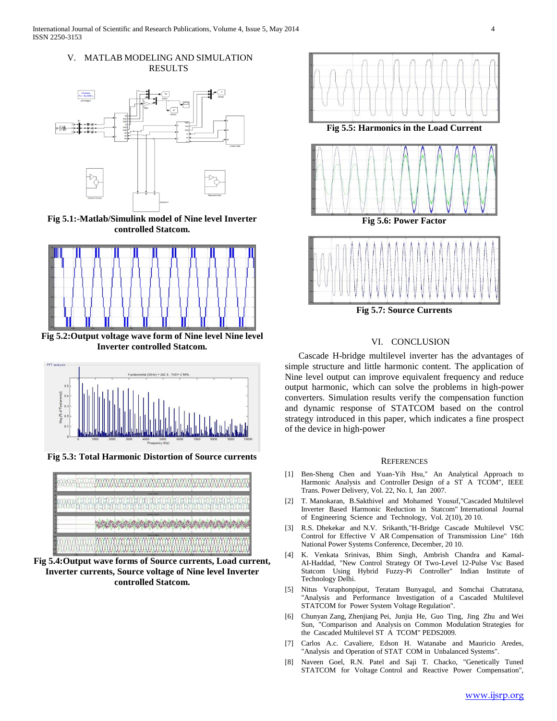## V. MATLAB MODELING AND SIMULATION RESULTS



**Fig 5.1:-Matlab/Simulink model of Nine level Inverter controlled Statcom.**



**Fig 5.2:Output voltage wave form of Nine level Nine level Inverter controlled Statcom.**



**Fig 5.3: Total Harmonic Distortion of Source currents**



**Fig 5.4:Output wave forms of Source currents, Load current, Inverter currents, Source voltage of Nine level Inverter controlled Statcom.**





**Fig 5.7: Source Currents**

# VI. CONCLUSION

 Cascade H-bridge multilevel inverter has the advantages of simple structure and little harmonic content. The application of Nine level output can improve equivalent frequency and reduce output harmonic, which can solve the problems in high-power converters. Simulation results verify the compensation function and dynamic response of STATCOM based on the control strategy introduced in this paper, which indicates a fine prospect of the device in high-power

#### **REFERENCES**

- [1] Ben-Sheng Chen and Yuan-Yih Hsu," An Analytical Approach to Harmonic Analysis and Controller Design of a ST A TCOM", IEEE Trans. Power Delivery, Vol. 22, No. I, Jan 2007.
- [2] T. Manokaran, B.Sakthivel and Mohamed Yousuf,"Cascaded Multilevel Inverter Based Harmonic Reduction in Statcom" International Journal of Engineering Science and Technology, Vol. 2(10), 20 10.
- [3] R.S. Dhekekar and N.V. Srikanth,"H-Bridge Cascade Multilevel VSC Control for Effective V AR Compensation of Transmission Line" 16th National Power Systems Conference, December, 20 10.
- [4] K. Venkata Srinivas, Bhim Singh, Ambrish Chandra and Kamal-AI-Haddad, "New Control Strategy Of Two-Level 12-Pulse Vsc Based Statcom Using Hybrid Fuzzy-Pi Controller" Indian Institute of Technology Delhi.
- [5] Nitus Voraphonpiput, Teratam Bunyagul, and Somchai Chatratana, "Analysis and Performance Investigation of a Cascaded Multilevel STATCOM for Power System Voltage Regulation".
- [6] Chunyan Zang, Zhenjiang Pei, Junjia He, Guo Ting, Jing Zhu and Wei Sun, "Comparison and Analysis on Common Modulation Strategies for the Cascaded Multilevel ST A TCOM" PEDS2009.
- [7] Carlos A.c. Cavaliere, Edson H. Watanabe and Mauricio Aredes, "Analysis and Operation of STAT COM in Unbalanced Systems".
- [8] Naveen Goel, R.N. Patel and Saji T. Chacko, "Genetically Tuned STATCOM for Voltage Control and Reactive Power Compensation",